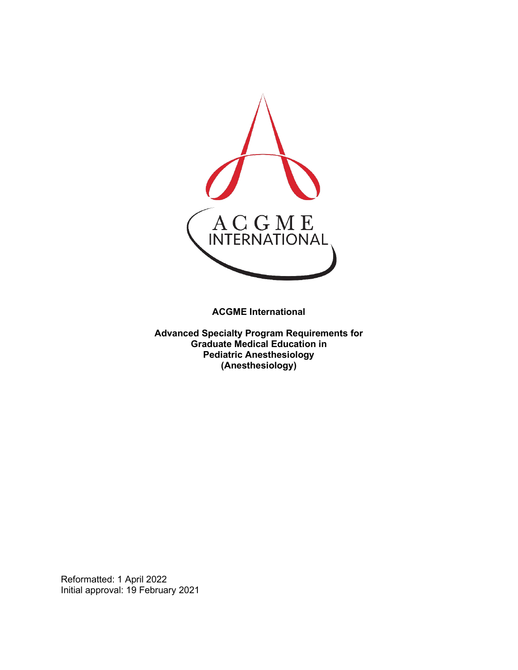

**ACGME International** 

**Advanced Specialty Program Requirements for Graduate Medical Education in Pediatric Anesthesiology (Anesthesiology)**

Reformatted: 1 April 2022 Initial approval: 19 February 2021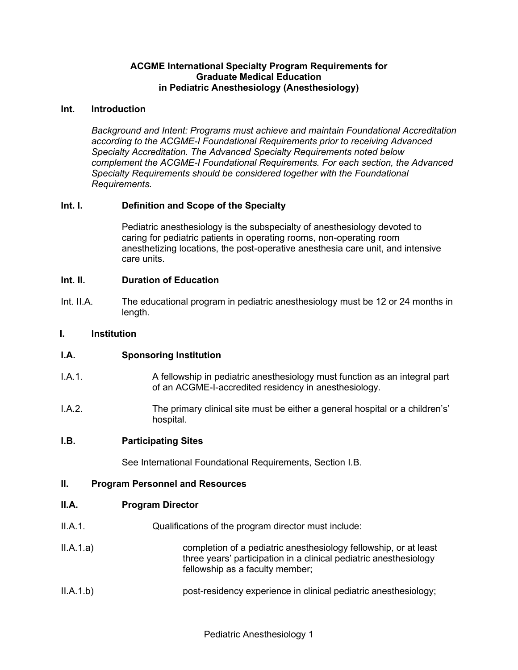#### **ACGME International Specialty Program Requirements for Graduate Medical Education in Pediatric Anesthesiology (Anesthesiology)**

#### **Int. Introduction**

*Background and Intent: Programs must achieve and maintain Foundational Accreditation according to the ACGME-I Foundational Requirements prior to receiving Advanced Specialty Accreditation. The Advanced Specialty Requirements noted below complement the ACGME-I Foundational Requirements. For each section, the Advanced Specialty Requirements should be considered together with the Foundational Requirements.*

### **Int. I. Definition and Scope of the Specialty**

Pediatric anesthesiology is the subspecialty of anesthesiology devoted to caring for pediatric patients in operating rooms, non-operating room anesthetizing locations, the post-operative anesthesia care unit, and intensive care units.

### **Int. II. Duration of Education**

Int. II.A. The educational program in pediatric anesthesiology must be 12 or 24 months in length.

#### **I. Institution**

### **I.A. Sponsoring Institution**

- I.A.1. A fellowship in pediatric anesthesiology must function as an integral part of an ACGME-I-accredited residency in anesthesiology.
- I.A.2. The primary clinical site must be either a general hospital or a children's' hospital.

#### **I.B. Participating Sites**

See International Foundational Requirements, Section I.B.

#### **II. Program Personnel and Resources**

#### **II.A. Program Director**

- II.A.1. Qualifications of the program director must include:
- II.A.1.a) completion of a pediatric anesthesiology fellowship, or at least three years' participation in a clinical pediatric anesthesiology fellowship as a faculty member;
- II.A.1.b) post-residency experience in clinical pediatric anesthesiology;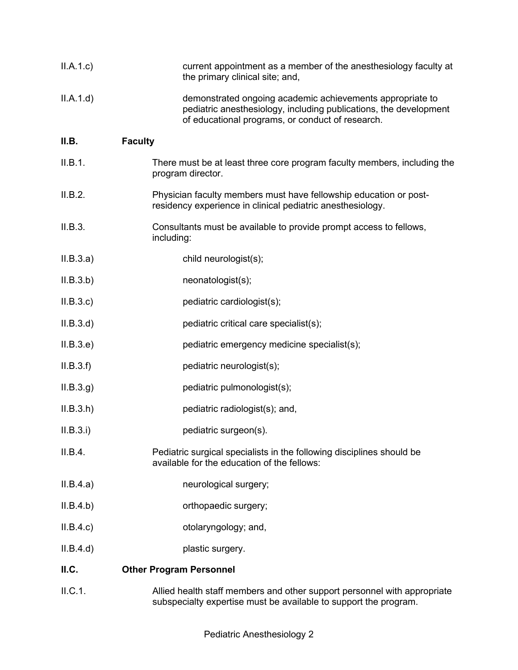| II.A.1.c  | current appointment as a member of the anesthesiology faculty at<br>the primary clinical site; and,                                                                                |
|-----------|------------------------------------------------------------------------------------------------------------------------------------------------------------------------------------|
| II.A.1.d  | demonstrated ongoing academic achievements appropriate to<br>pediatric anesthesiology, including publications, the development<br>of educational programs, or conduct of research. |
| II.B.     | <b>Faculty</b>                                                                                                                                                                     |
| II.B.1.   | There must be at least three core program faculty members, including the<br>program director.                                                                                      |
| II.B.2.   | Physician faculty members must have fellowship education or post-<br>residency experience in clinical pediatric anesthesiology.                                                    |
| II.B.3.   | Consultants must be available to provide prompt access to fellows,<br>including:                                                                                                   |
| II.B.3.a) | child neurologist(s);                                                                                                                                                              |
| II.B.3.b) | neonatologist(s);                                                                                                                                                                  |
| II.B.3.c  | pediatric cardiologist(s);                                                                                                                                                         |
| II.B.3.d  | pediatric critical care specialist(s);                                                                                                                                             |
| II.B.3.e) | pediatric emergency medicine specialist(s);                                                                                                                                        |
| II.B.3.f) | pediatric neurologist(s);                                                                                                                                                          |
| II.B.3.g. | pediatric pulmonologist(s);                                                                                                                                                        |
| II.B.3.h  | pediatric radiologist(s); and,                                                                                                                                                     |
| II.B.3.i) | pediatric surgeon(s).                                                                                                                                                              |
| II.B.4.   | Pediatric surgical specialists in the following disciplines should be<br>available for the education of the fellows:                                                               |
| II.B.4.a) | neurological surgery;                                                                                                                                                              |
| II.B.4.b) | orthopaedic surgery;                                                                                                                                                               |
| II.B.4.c  | otolaryngology; and,                                                                                                                                                               |
| II.B.4.d  | plastic surgery.                                                                                                                                                                   |
| ILC.      | <b>Other Program Personnel</b>                                                                                                                                                     |
| II.C.1.   | Allied health staff members and other support personnel with appropriate<br>subspecialty expertise must be available to support the program.                                       |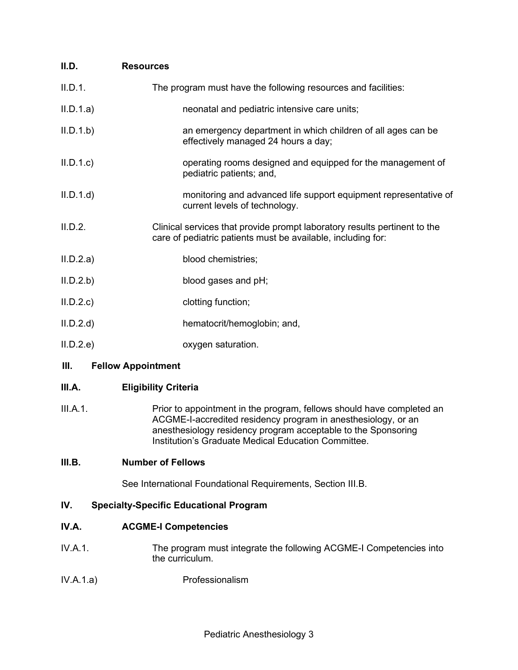| II.D.     | <b>Resources</b>                                                                                                                          |
|-----------|-------------------------------------------------------------------------------------------------------------------------------------------|
| II.D.1.   | The program must have the following resources and facilities:                                                                             |
| II.D.1.a) | neonatal and pediatric intensive care units;                                                                                              |
| II.D.1.b  | an emergency department in which children of all ages can be<br>effectively managed 24 hours a day;                                       |
| II.D.1.c  | operating rooms designed and equipped for the management of<br>pediatric patients; and,                                                   |
| II.D.1.d  | monitoring and advanced life support equipment representative of<br>current levels of technology.                                         |
| II.D.2.   | Clinical services that provide prompt laboratory results pertinent to the<br>care of pediatric patients must be available, including for: |
| II.D.2.a) | blood chemistries;                                                                                                                        |
| II.D.2.b  | blood gases and pH;                                                                                                                       |
| II.D.2.c  | clotting function;                                                                                                                        |
| II.D.2.d  | hematocrit/hemoglobin; and,                                                                                                               |
| II.D.2.e  | oxygen saturation.                                                                                                                        |
|           |                                                                                                                                           |

## **III. Fellow Appointment**

## **III.A. Eligibility Criteria**

III.A.1. Prior to appointment in the program, fellows should have completed an ACGME-I-accredited residency program in anesthesiology, or an anesthesiology residency program acceptable to the Sponsoring Institution's Graduate Medical Education Committee.

### **III.B. Number of Fellows**

See International Foundational Requirements, Section III.B.

# **IV. Specialty-Specific Educational Program**

### **IV.A. ACGME-I Competencies**

- IV.A.1. The program must integrate the following ACGME-I Competencies into the curriculum.
- IV.A.1.a) Professionalism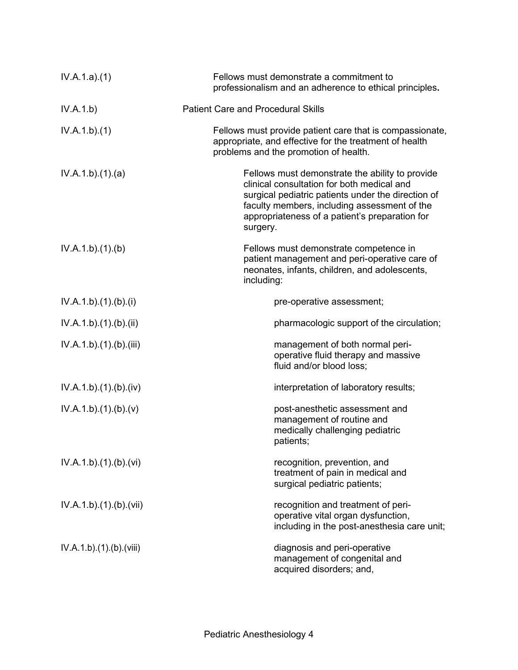| IV.A.1.a)(1)          | Fellows must demonstrate a commitment to<br>professionalism and an adherence to ethical principles.                                                                                                                                                               |
|-----------------------|-------------------------------------------------------------------------------------------------------------------------------------------------------------------------------------------------------------------------------------------------------------------|
| IV.A.1.b)             | <b>Patient Care and Procedural Skills</b>                                                                                                                                                                                                                         |
| IV.A.1.b)(1)          | Fellows must provide patient care that is compassionate,<br>appropriate, and effective for the treatment of health<br>problems and the promotion of health.                                                                                                       |
| IV.A.1.b)(1)(a)       | Fellows must demonstrate the ability to provide<br>clinical consultation for both medical and<br>surgical pediatric patients under the direction of<br>faculty members, including assessment of the<br>appropriateness of a patient's preparation for<br>surgery. |
| IV.A.1.b)(1)(b)       | Fellows must demonstrate competence in<br>patient management and peri-operative care of<br>neonates, infants, children, and adolescents,<br>including:                                                                                                            |
| IV.A.1.b)(1)(b)(i)    | pre-operative assessment;                                                                                                                                                                                                                                         |
| IV.A.1.b)(1)(b)(ii)   | pharmacologic support of the circulation;                                                                                                                                                                                                                         |
| IV.A.1.b)(1)(b)(iii)  | management of both normal peri-<br>operative fluid therapy and massive<br>fluid and/or blood loss;                                                                                                                                                                |
| IV.A.1.b)(1)(b)(iv)   | interpretation of laboratory results;                                                                                                                                                                                                                             |
| IV.A.1.b)(1)(b)(v)    | post-anesthetic assessment and<br>management of routine and<br>medically challenging pediatric<br>patients;                                                                                                                                                       |
| IV.A.1.b)(1)(b)(vi)   | recognition, prevention, and<br>treatment of pain in medical and<br>surgical pediatric patients;                                                                                                                                                                  |
| IV.A.1.b)(1)(b)(vii)  | recognition and treatment of peri-<br>operative vital organ dysfunction,<br>including in the post-anesthesia care unit;                                                                                                                                           |
| IV.A.1.b)(1)(b)(viii) | diagnosis and peri-operative<br>management of congenital and<br>acquired disorders; and,                                                                                                                                                                          |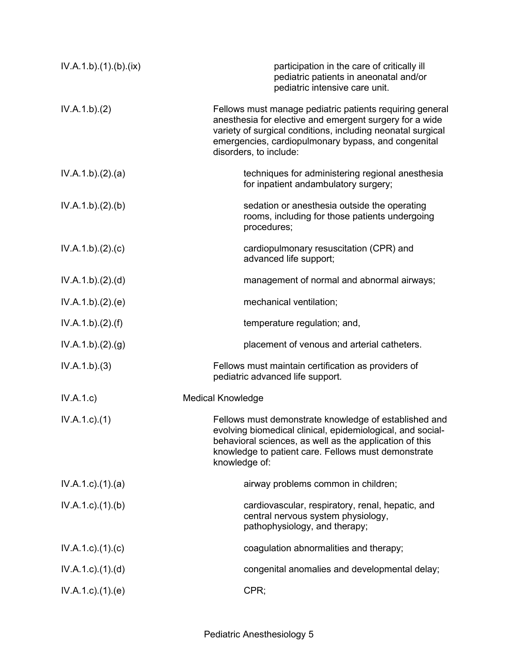| IV.A.1.b)(1)(b)(ix)       | participation in the care of critically ill<br>pediatric patients in aneonatal and/or<br>pediatric intensive care unit.                                                                                                                                             |
|---------------------------|---------------------------------------------------------------------------------------------------------------------------------------------------------------------------------------------------------------------------------------------------------------------|
| IV.A.1.b)(2)              | Fellows must manage pediatric patients requiring general<br>anesthesia for elective and emergent surgery for a wide<br>variety of surgical conditions, including neonatal surgical<br>emergencies, cardiopulmonary bypass, and congenital<br>disorders, to include: |
| IV.A.1.b)(2).(a)          | techniques for administering regional anesthesia<br>for inpatient andambulatory surgery;                                                                                                                                                                            |
| IV.A.1.b)(2)(b)           | sedation or anesthesia outside the operating<br>rooms, including for those patients undergoing<br>procedures;                                                                                                                                                       |
| IV.A.1.b)(2).(c)          | cardiopulmonary resuscitation (CPR) and<br>advanced life support;                                                                                                                                                                                                   |
| IV.A.1.b)(2).(d)          | management of normal and abnormal airways;                                                                                                                                                                                                                          |
| IV.A.1.b)(2).(e)          | mechanical ventilation;                                                                                                                                                                                                                                             |
| IV.A.1.b)(2).(f)          | temperature regulation; and,                                                                                                                                                                                                                                        |
| IV.A.1.b)(2)(g)           | placement of venous and arterial catheters.                                                                                                                                                                                                                         |
| IV.A.1.b)(3)              | Fellows must maintain certification as providers of<br>pediatric advanced life support.                                                                                                                                                                             |
| IV.A.1.c                  | <b>Medical Knowledge</b>                                                                                                                                                                                                                                            |
| $IV.A.1.c.$ (1)           | Fellows must demonstrate knowledge of established and<br>evolving biomedical clinical, epidemiological, and social-<br>behavioral sciences, as well as the application of this<br>knowledge to patient care. Fellows must demonstrate<br>knowledge of:              |
| $IV.A.1.c$ . $(1).$ $(a)$ | airway problems common in children;                                                                                                                                                                                                                                 |
| $IV.A.1.c.$ (1).(b)       | cardiovascular, respiratory, renal, hepatic, and<br>central nervous system physiology,<br>pathophysiology, and therapy;                                                                                                                                             |
| $IV.A.1.c$ ) $(1)(c)$     | coagulation abnormalities and therapy;                                                                                                                                                                                                                              |
| $IV.A.1.c$ . $(1).$ $(d)$ | congenital anomalies and developmental delay;                                                                                                                                                                                                                       |
| IV.A.1.c)(1)(e)           | CPR;                                                                                                                                                                                                                                                                |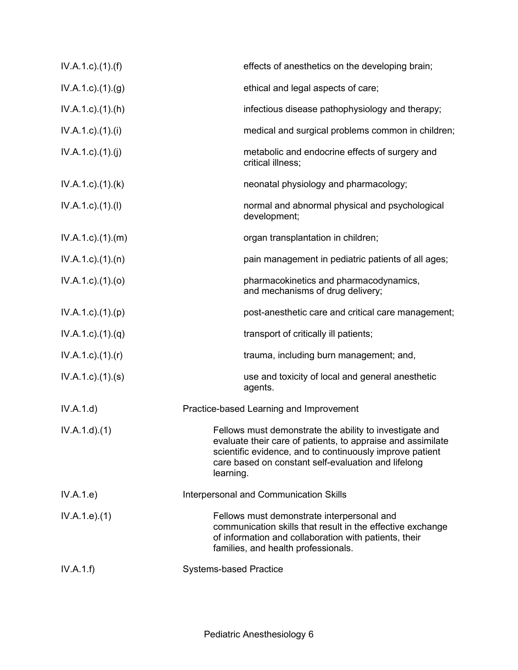| $IV.A.1.c$ . $(1).(f)$      | effects of anesthetics on the developing brain;                                                                                                                                                                                                        |
|-----------------------------|--------------------------------------------------------------------------------------------------------------------------------------------------------------------------------------------------------------------------------------------------------|
| $IV.A.1.c$ . $(1).(g)$      | ethical and legal aspects of care;                                                                                                                                                                                                                     |
| $IV.A.1.c$ . $(1).(h)$      | infectious disease pathophysiology and therapy;                                                                                                                                                                                                        |
| IV.A.1.c)(1)(i)             | medical and surgical problems common in children;                                                                                                                                                                                                      |
| IV.A.1.c)(1)(j)             | metabolic and endocrine effects of surgery and<br>critical illness;                                                                                                                                                                                    |
| $IV.A.1.c$ . $(1).$ $(k)$   | neonatal physiology and pharmacology;                                                                                                                                                                                                                  |
| IV.A.1.c)(1)(I)             | normal and abnormal physical and psychological<br>development;                                                                                                                                                                                         |
| $IV.A.1.c$ . $(1).$ $(m)$   | organ transplantation in children;                                                                                                                                                                                                                     |
| $IV.A.1.c$ . $(1).$ $(n)$   | pain management in pediatric patients of all ages;                                                                                                                                                                                                     |
| $IV.A.1.c$ ). $(1).(o)$     | pharmacokinetics and pharmacodynamics,<br>and mechanisms of drug delivery;                                                                                                                                                                             |
| IV.A.1.c)(1)(p)             | post-anesthetic care and critical care management;                                                                                                                                                                                                     |
| $IV.A.1.c$ ). $(1).(q)$     | transport of critically ill patients;                                                                                                                                                                                                                  |
| $IV.A.1.c$ ). $(1)$ . $(r)$ | trauma, including burn management; and,                                                                                                                                                                                                                |
| $IV.A.1.c$ . $(1).$ (s)     | use and toxicity of local and general anesthetic<br>agents.                                                                                                                                                                                            |
| IV.A.1.d)                   | Practice-based Learning and Improvement                                                                                                                                                                                                                |
| IV.A.1.d)(1)                | Fellows must demonstrate the ability to investigate and<br>evaluate their care of patients, to appraise and assimilate<br>scientific evidence, and to continuously improve patient<br>care based on constant self-evaluation and lifelong<br>learning. |
| IV.A.1.e)                   | Interpersonal and Communication Skills                                                                                                                                                                                                                 |
| IV.A.1.e. (1)               | Fellows must demonstrate interpersonal and<br>communication skills that result in the effective exchange<br>of information and collaboration with patients, their<br>families, and health professionals.                                               |
| IV.A.1.f)                   | <b>Systems-based Practice</b>                                                                                                                                                                                                                          |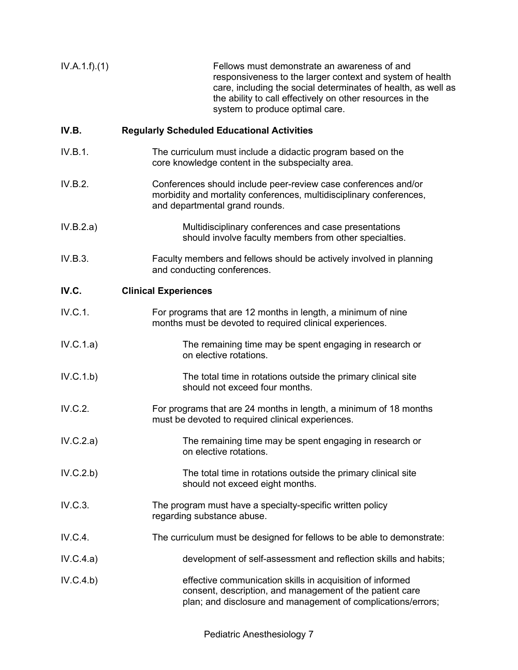| IV.A.1.f)(1) | Fellows must demonstrate an awareness of and<br>responsiveness to the larger context and system of health<br>care, including the social determinates of health, as well as<br>the ability to call effectively on other resources in the<br>system to produce optimal care. |
|--------------|----------------------------------------------------------------------------------------------------------------------------------------------------------------------------------------------------------------------------------------------------------------------------|
| IV.B.        | <b>Regularly Scheduled Educational Activities</b>                                                                                                                                                                                                                          |
| IV.B.1.      | The curriculum must include a didactic program based on the<br>core knowledge content in the subspecialty area.                                                                                                                                                            |
| IV.B.2.      | Conferences should include peer-review case conferences and/or<br>morbidity and mortality conferences, multidisciplinary conferences,<br>and departmental grand rounds.                                                                                                    |
| IV.B.2.a)    | Multidisciplinary conferences and case presentations<br>should involve faculty members from other specialties.                                                                                                                                                             |
| IV.B.3.      | Faculty members and fellows should be actively involved in planning<br>and conducting conferences.                                                                                                                                                                         |
| IV.C.        | <b>Clinical Experiences</b>                                                                                                                                                                                                                                                |
| IV.C.1.      | For programs that are 12 months in length, a minimum of nine<br>months must be devoted to required clinical experiences.                                                                                                                                                   |
| IV.C.1.a)    | The remaining time may be spent engaging in research or<br>on elective rotations.                                                                                                                                                                                          |
| IV.C.1.b)    | The total time in rotations outside the primary clinical site<br>should not exceed four months.                                                                                                                                                                            |
| IV.C.2.      | For programs that are 24 months in length, a minimum of 18 months<br>must be devoted to required clinical experiences.                                                                                                                                                     |
| IV.C.2.a)    | The remaining time may be spent engaging in research or<br>on elective rotations.                                                                                                                                                                                          |
| IV.C.2.b)    | The total time in rotations outside the primary clinical site<br>should not exceed eight months.                                                                                                                                                                           |
| IV.C.3.      | The program must have a specialty-specific written policy<br>regarding substance abuse.                                                                                                                                                                                    |
| IV.C.4.      | The curriculum must be designed for fellows to be able to demonstrate:                                                                                                                                                                                                     |
| IV.C.4.a)    | development of self-assessment and reflection skills and habits;                                                                                                                                                                                                           |
| IV.C.4.b)    | effective communication skills in acquisition of informed<br>consent, description, and management of the patient care<br>plan; and disclosure and management of complications/errors;                                                                                      |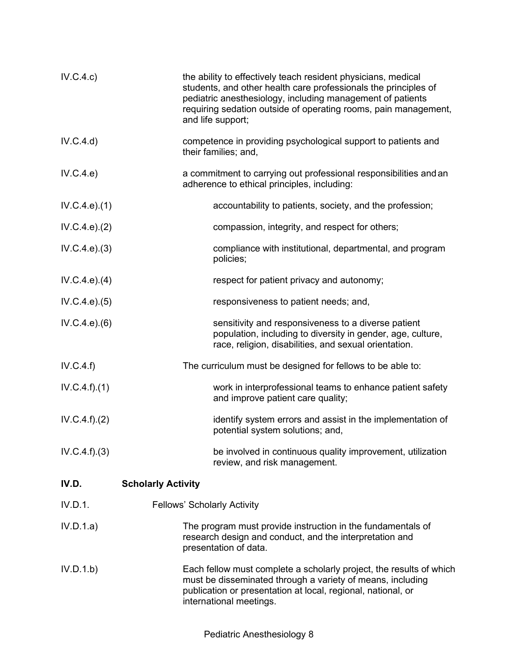| IV.C.4.c)        | the ability to effectively teach resident physicians, medical<br>students, and other health care professionals the principles of<br>pediatric anesthesiology, including management of patients<br>requiring sedation outside of operating rooms, pain management,<br>and life support; |
|------------------|----------------------------------------------------------------------------------------------------------------------------------------------------------------------------------------------------------------------------------------------------------------------------------------|
| IV.C.4.d)        | competence in providing psychological support to patients and<br>their families; and,                                                                                                                                                                                                  |
| IV.C.4.e)        | a commitment to carrying out professional responsibilities and an<br>adherence to ethical principles, including:                                                                                                                                                                       |
| IV.C.4.e).(1)    | accountability to patients, society, and the profession;                                                                                                                                                                                                                               |
| IV.C.4.e.22)     | compassion, integrity, and respect for others;                                                                                                                                                                                                                                         |
| IV.C.4.e.3)      | compliance with institutional, departmental, and program<br>policies;                                                                                                                                                                                                                  |
| IV.C.4.e. (4)    | respect for patient privacy and autonomy;                                                                                                                                                                                                                                              |
| IV.C.4.e. (5)    | responsiveness to patient needs; and,                                                                                                                                                                                                                                                  |
| IV.C.4.e. (6)    | sensitivity and responsiveness to a diverse patient<br>population, including to diversity in gender, age, culture,<br>race, religion, disabilities, and sexual orientation.                                                                                                            |
| IV.C.4.f)        | The curriculum must be designed for fellows to be able to:                                                                                                                                                                                                                             |
| IV.C.4.f).(1)    | work in interprofessional teams to enhance patient safety<br>and improve patient care quality;                                                                                                                                                                                         |
| IV.C.4.f). (2)   | identify system errors and assist in the implementation of<br>potential system solutions; and,                                                                                                                                                                                         |
| $IV.C.4.f).$ (3) | be involved in continuous quality improvement, utilization<br>review, and risk management.                                                                                                                                                                                             |
| IV.D.            | <b>Scholarly Activity</b>                                                                                                                                                                                                                                                              |
| IV.D.1.          | <b>Fellows' Scholarly Activity</b>                                                                                                                                                                                                                                                     |
| IV.D.1.a)        | The program must provide instruction in the fundamentals of<br>research design and conduct, and the interpretation and<br>presentation of data.                                                                                                                                        |
| IV.D.1.b)        | Each fellow must complete a scholarly project, the results of which<br>must be disseminated through a variety of means, including<br>publication or presentation at local, regional, national, or<br>international meetings.                                                           |